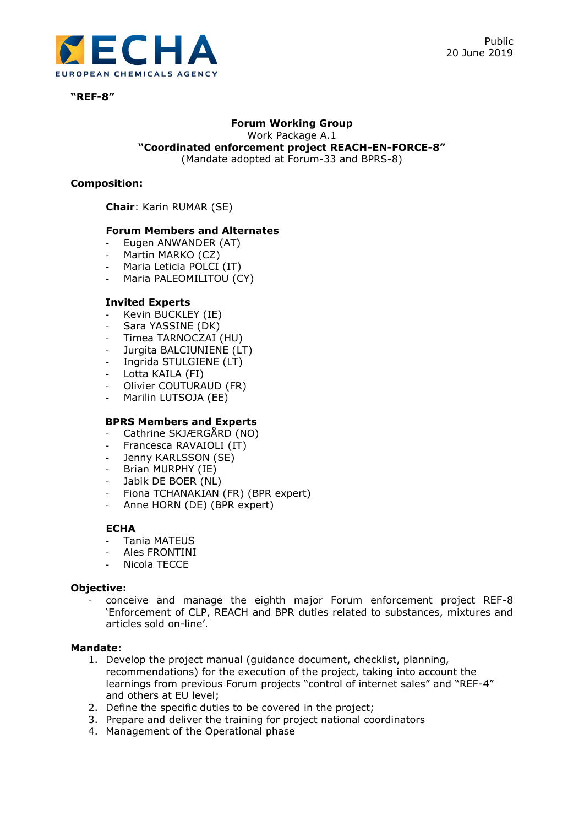

**"REF-8"**

#### **Forum Working Group** Work Package A.1

**"Coordinated enforcement project REACH-EN-FORCE-8"**

(Mandate adopted at Forum-33 and BPRS-8)

# **Composition:**

**Chair**: Karin RUMAR (SE)

## **Forum Members and Alternates**

- Eugen ANWANDER (AT)
- Martin MARKO (CZ)
- Maria Leticia POLCI (IT)
- Maria PALEOMILITOU (CY)

## **Invited Experts**

- Kevin BUCKLEY (IE)
- Sara YASSINE (DK)
- Timea TARNOCZAI (HU)
- Jurgita BALCIUNIENE (LT)
- Ingrida STULGIENE (LT)
- Lotta KAILA (FI)
- Olivier COUTURAUD (FR)
- Marilin LUTSOJA (EE)

# **BPRS Members and Experts**

- Cathrine SKJÆRGÅRD (NO)
- Francesca RAVAIOLI (IT)
- Jenny KARLSSON (SE)
- Brian MURPHY (IE)
- Jabik DE BOER (NL)
- Fiona TCHANAKIAN (FR) (BPR expert)
- Anne HORN (DE) (BPR expert)

### **ECHA**

- Tania MATEUS
- Ales FRONTINI
- Nicola TECCE

### **Objective:**

- conceive and manage the eighth major Forum enforcement project REF-8 'Enforcement of CLP, REACH and BPR duties related to substances, mixtures and articles sold on-line'.

### **Mandate**:

- 1. Develop the project manual (guidance document, checklist, planning, recommendations) for the execution of the project, taking into account the learnings from previous Forum projects "control of internet sales" and "REF-4" and others at EU level;
- 2. Define the specific duties to be covered in the project;
- 3. Prepare and deliver the training for project national coordinators
- 4. Management of the Operational phase